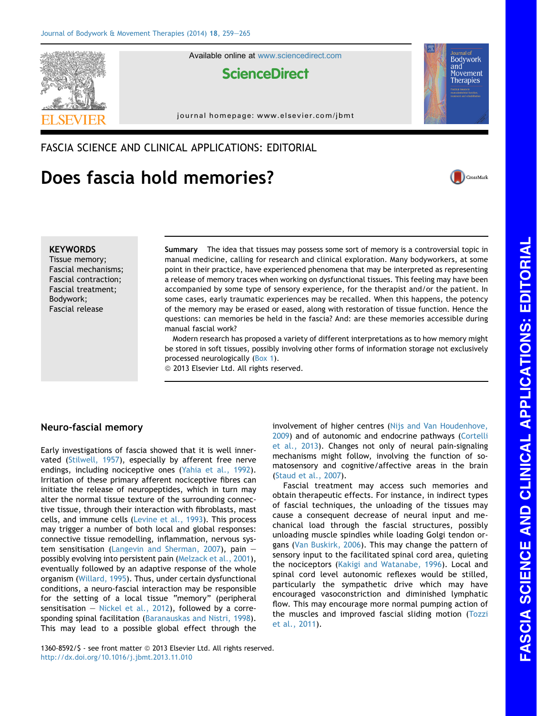

Available online at [www.sciencedirect.com](www.sciencedirect.com/science/journal/13608592)

# **ScienceDirect**

journal homepage: [www.elsevier.com/jbmt](http://www.elsevier.com/jbmt)

FASCIA SCIENCE AND CLINICAL APPLICATIONS: EDITORIAL

# Does fascia hold memories?



**Bodywork** and Movement **Therapies** 

### **KEYWORDS**

Tissue memory; Fascial mechanisms; Fascial contraction; Fascial treatment; Bodywork; Fascial release

Summary The idea that tissues may possess some sort of memory is a controversial topic in manual medicine, calling for research and clinical exploration. Many bodyworkers, at some point in their practice, have experienced phenomena that may be interpreted as representing a release of memory traces when working on dysfunctional tissues. This feeling may have been accompanied by some type of sensory experience, for the therapist and/or the patient. In some cases, early traumatic experiences may be recalled. When this happens, the potency of the memory may be erased or eased, along with restoration of tissue function. Hence the questions: can memories be held in the fascia? And: are these memories accessible during manual fascial work?

Modern research has proposed a variety of different interpretations as to how memory might be stored in soft tissues, possibly involving other forms of information storage not exclusively processed neurologically (Box 1).

<sup>©</sup> 2013 Elsevier Ltd. All rights reserved.

# Neuro-fascial memory

Early investigations of fascia showed that it is well innervated ([Stilwell, 1957](#page-6-0)), especially by afferent free nerve endings, including nociceptive ones ([Yahia et al., 1992\)](#page-6-0). Irritation of these primary afferent nociceptive fibres can initiate the release of neuropeptides, which in turn may alter the normal tissue texture of the surrounding connective tissue, through their interaction with fibroblasts, mast cells, and immune cells [\(Levine et al., 1993](#page-5-0)). This process may trigger a number of both local and global responses: connective tissue remodelling, inflammation, nervous sys-tem sensitisation ([Langevin and Sherman, 2007\)](#page-5-0), pain  $$ possibly evolving into persistent pain [\(Melzack et al., 2001\)](#page-6-0), eventually followed by an adaptive response of the whole organism [\(Willard, 1995](#page-6-0)). Thus, under certain dysfunctional conditions, a neuro-fascial interaction may be responsible for the setting of a local tissue "memory" (peripheral sensitisation  $-$  [Nickel et al., 2012](#page-6-0)), followed by a corresponding spinal facilitation [\(Baranauskas and Nistri, 1998\)](#page-5-0). This may lead to a possible global effect through the involvement of higher centres [\(Nijs and Van Houdenhove,](#page-6-0) [2009](#page-6-0)) and of autonomic and endocrine pathways ([Cortelli](#page-5-0) [et al., 2013](#page-5-0)). Changes not only of neural pain-signaling mechanisms might follow, involving the function of somatosensory and cognitive/affective areas in the brain ([Staud et al., 2007](#page-6-0)).

Fascial treatment may access such memories and obtain therapeutic effects. For instance, in indirect types of fascial techniques, the unloading of the tissues may cause a consequent decrease of neural input and mechanical load through the fascial structures, possibly unloading muscle spindles while loading Golgi tendon organs ([Van Buskirk, 2006](#page-6-0)). This may change the pattern of sensory input to the facilitated spinal cord area, quieting the nociceptors [\(Kakigi and Watanabe, 1996](#page-5-0)). Local and spinal cord level autonomic reflexes would be stilled, particularly the sympathetic drive which may have encouraged vasoconstriction and diminished lymphatic flow. This may encourage more normal pumping action of the muscles and improved fascial sliding motion [\(Tozzi](#page-6-0) [et al., 2011\)](#page-6-0).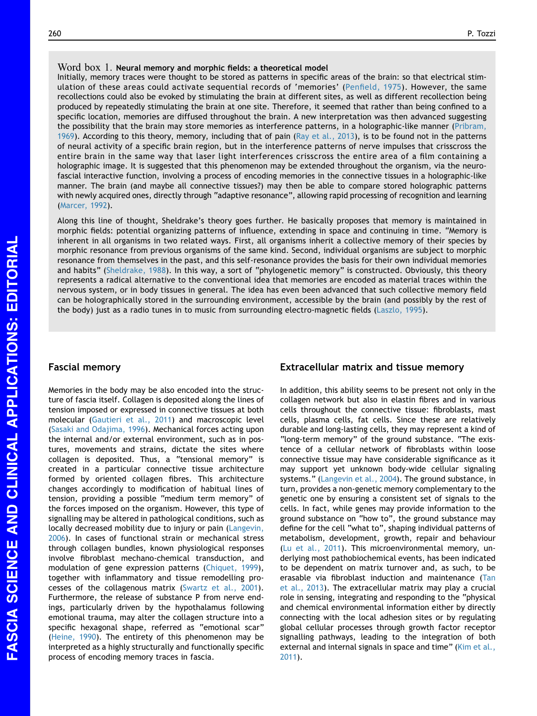#### Word box 1. Neural memory and morphic fields: a theoretical model

Initially, memory traces were thought to be stored as patterns in specific areas of the brain: so that electrical stimulation of these areas could activate sequential records of 'memories' [\(Penfield, 1975](#page-6-0)). However, the same recollections could also be evoked by stimulating the brain at different sites, as well as different recollection being produced by repeatedly stimulating the brain at one site. Therefore, it seemed that rather than being confined to a specific location, memories are diffused throughout the brain. A new interpretation was then advanced suggesting the possibility that the brain may store memories as interference patterns, in a holographic-like manner ([Pribram,](#page-6-0) [1969](#page-6-0)). According to this theory, memory, including that of pain ([Ray et al., 2013](#page-6-0)), is to be found not in the patterns of neural activity of a specific brain region, but in the interference patterns of nerve impulses that crisscross the entire brain in the same way that laser light interferences crisscross the entire area of a film containing a holographic image. It is suggested that this phenomenon may be extended throughout the organism, via the neurofascial interactive function, involving a process of encoding memories in the connective tissues in a holographic-like manner. The brain (and maybe all connective tissues?) may then be able to compare stored holographic patterns with newly acquired ones, directly through "adaptive resonance", allowing rapid processing of recognition and learning ([Marcer, 1992\)](#page-5-0).

Along this line of thought, Sheldrake's theory goes further. He basically proposes that memory is maintained in morphic fields: potential organizing patterns of influence, extending in space and continuing in time. "Memory is inherent in all organisms in two related ways. First, all organisms inherit a collective memory of their species by morphic resonance from previous organisms of the same kind. Second, individual organisms are subject to morphic resonance from themselves in the past, and this self-resonance provides the basis for their own individual memories and habits" ([Sheldrake, 1988](#page-6-0)). In this way, a sort of "phylogenetic memory" is constructed. Obviously, this theory represents a radical alternative to the conventional idea that memories are encoded as material traces within the nervous system, or in body tissues in general. The idea has even been advanced that such collective memory field can be holographically stored in the surrounding environment, accessible by the brain (and possibly by the rest of the body) just as a radio tunes in to music from surrounding electro-magnetic fields ([Laszlo, 1995\)](#page-5-0).

#### Fascial memory

Memories in the body may be also encoded into the structure of fascia itself. Collagen is deposited along the lines of tension imposed or expressed in connective tissues at both molecular [\(Gautieri et al., 2011\)](#page-5-0) and macroscopic level [\(Sasaki and Odajima, 1996\)](#page-6-0). Mechanical forces acting upon the internal and/or external environment, such as in postures, movements and strains, dictate the sites where collagen is deposited. Thus, a "tensional memory" is created in a particular connective tissue architecture formed by oriented collagen fibres. This architecture changes accordingly to modification of habitual lines of tension, providing a possible "medium term memory" of the forces imposed on the organism. However, this type of signalling may be altered in pathological conditions, such as locally decreased mobility due to injury or pain [\(Langevin,](#page-5-0) [2006](#page-5-0)). In cases of functional strain or mechanical stress through collagen bundles, known physiological responses involve fibroblast mechano-chemical transduction, and modulation of gene expression patterns ([Chiquet, 1999](#page-5-0)), together with inflammatory and tissue remodelling processes of the collagenous matrix ([Swartz et al., 2001](#page-6-0)). Furthermore, the release of substance P from nerve endings, particularly driven by the hypothalamus following emotional trauma, may alter the collagen structure into a specific hexagonal shape, referred as "emotional scar" [\(Heine, 1990\)](#page-5-0). The entirety of this phenomenon may be interpreted as a highly structurally and functionally specific process of encoding memory traces in fascia.

# Extracellular matrix and tissue memory

In addition, this ability seems to be present not only in the collagen network but also in elastin fibres and in various cells throughout the connective tissue: fibroblasts, mast cells, plasma cells, fat cells. Since these are relatively durable and long-lasting cells, they may represent a kind of "long-term memory" of the ground substance. "The existence of a cellular network of fibroblasts within loose connective tissue may have considerable significance as it may support yet unknown body-wide cellular signaling systems." ([Langevin et al., 2004\)](#page-5-0). The ground substance, in turn, provides a non-genetic memory complementary to the genetic one by ensuring a consistent set of signals to the cells. In fact, while genes may provide information to the ground substance on "how to", the ground substance may define for the cell "what to", shaping individual patterns of metabolism, development, growth, repair and behaviour [\(Lu et al., 2011\)](#page-5-0). This microenvironmental memory, underlying most pathobiochemical events, has been indicated to be dependent on matrix turnover and, as such, to be erasable via fibroblast induction and maintenance [\(Tan](#page-6-0) [et al., 2013](#page-6-0)). The extracellular matrix may play a crucial role in sensing, integrating and responding to the "physical and chemical environmental information either by directly connecting with the local adhesion sites or by regulating global cellular processes through growth factor receptor signalling pathways, leading to the integration of both external and internal signals in space and time" ([Kim et al.,](#page-5-0) [2011](#page-5-0)).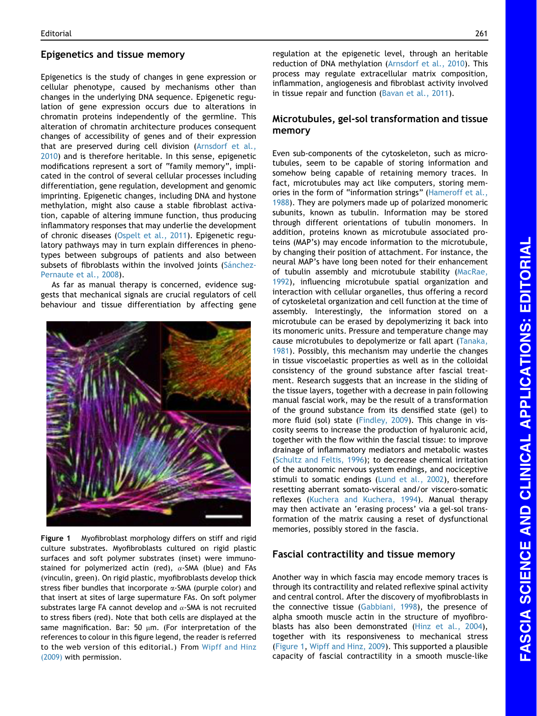#### Epigenetics and tissue memory

Epigenetics is the study of changes in gene expression or cellular phenotype, caused by mechanisms other than changes in the underlying DNA sequence. Epigenetic regulation of gene expression occurs due to alterations in chromatin proteins independently of the germline. This alteration of chromatin architecture produces consequent changes of accessibility of genes and of their expression that are preserved during cell division [\(Arnsdorf et al.,](#page-5-0) [2010](#page-5-0)) and is therefore heritable. In this sense, epigenetic modifications represent a sort of "family memory", implicated in the control of several cellular processes including differentiation, gene regulation, development and genomic imprinting. Epigenetic changes, including DNA and hystone methylation, might also cause a stable fibroblast activation, capable of altering immune function, thus producing inflammatory responses that may underlie the development of chronic diseases [\(Ospelt et al., 2011\)](#page-6-0). Epigenetic regulatory pathways may in turn explain differences in phenotypes between subgroups of patients and also between subsets of fibroblasts within the involved joints (Sánchez-[Pernaute et al., 2008\)](#page-6-0).

As far as manual therapy is concerned, evidence suggests that mechanical signals are crucial regulators of cell behaviour and tissue differentiation by affecting gene



Figure 1 Myofibroblast morphology differs on stiff and rigid culture substrates. Myofibroblasts cultured on rigid plastic surfaces and soft polymer substrates (inset) were immunostained for polymerized actin (red),  $\alpha$ -SMA (blue) and FAs (vinculin, green). On rigid plastic, myofibroblasts develop thick stress fiber bundles that incorporate  $\alpha$ -SMA (purple color) and that insert at sites of large supermature FAs. On soft polymer substrates large FA cannot develop and  $\alpha$ -SMA is not recruited to stress fibers (red). Note that both cells are displayed at the same magnification. Bar: 50  $\mu$ m. (For interpretation of the references to colour in this figure legend, the reader is referred to the web version of this editorial.) From [Wipff and Hinz](#page-6-0) [\(2009\)](#page-6-0) with permission.

regulation at the epigenetic level, through an heritable reduction of DNA methylation ([Arnsdorf et al., 2010](#page-5-0)). This process may regulate extracellular matrix composition, inflammation, angiogenesis and fibroblast activity involved in tissue repair and function ([Bavan et al., 2011\)](#page-5-0).

#### Microtubules, gel-sol transformation and tissue memory

Even sub-components of the cytoskeleton, such as microtubules, seem to be capable of storing information and somehow being capable of retaining memory traces. In fact, microtubules may act like computers, storing memories in the form of "information strings" [\(Hameroff et al.,](#page-5-0) [1988](#page-5-0)). They are polymers made up of polarized monomeric subunits, known as tubulin. Information may be stored through different orientations of tubulin monomers. In addition, proteins known as microtubule associated proteins (MAP's) may encode information to the microtubule, by changing their position of attachment. For instance, the neural MAP's have long been noted for their enhancement of tubulin assembly and microtubule stability ([MacRae,](#page-5-0) [1992](#page-5-0)), influencing microtubule spatial organization and interaction with cellular organelles, thus offering a record of cytoskeletal organization and cell function at the time of assembly. Interestingly, the information stored on a microtubule can be erased by depolymerizing it back into its monomeric units. Pressure and temperature change may cause microtubules to depolymerize or fall apart ([Tanaka,](#page-6-0) [1981](#page-6-0)). Possibly, this mechanism may underlie the changes in tissue viscoelastic properties as well as in the colloidal consistency of the ground substance after fascial treatment. Research suggests that an increase in the sliding of the tissue layers, together with a decrease in pain following manual fascial work, may be the result of a transformation of the ground substance from its densified state (gel) to more fluid (sol) state [\(Findley, 2009\)](#page-5-0). This change in viscosity seems to increase the production of hyaluronic acid, together with the flow within the fascial tissue: to improve drainage of inflammatory mediators and metabolic wastes ([Schultz and Feltis, 1996\)](#page-6-0); to decrease chemical irritation of the autonomic nervous system endings, and nociceptive stimuli to somatic endings ([Lund et al., 2002](#page-5-0)), therefore resetting aberrant somato-visceral and/or viscero-somatic reflexes ([Kuchera and Kuchera, 1994](#page-5-0)). Manual therapy may then activate an 'erasing process' via a gel-sol transformation of the matrix causing a reset of dysfunctional memories, possibly stored in the fascia.

# Fascial contractility and tissue memory

Another way in which fascia may encode memory traces is through its contractility and related reflexive spinal activity and central control. After the discovery of myofibroblasts in the connective tissue [\(Gabbiani, 1998\)](#page-5-0), the presence of alpha smooth muscle actin in the structure of myofibroblasts has also been demonstrated [\(Hinz et al., 2004\)](#page-5-0), together with its responsiveness to mechanical stress (Figure 1, [Wipff and Hinz, 2009](#page-6-0)). This supported a plausible capacity of fascial contractility in a smooth muscle-like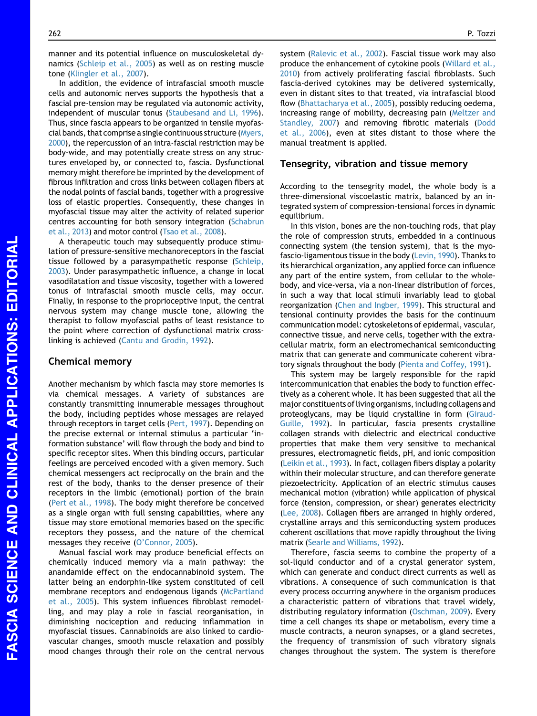manner and its potential influence on musculoskeletal dynamics [\(Schleip et al., 2005](#page-6-0)) as well as on resting muscle tone [\(Klingler et al., 2007](#page-5-0)).

In addition, the evidence of intrafascial smooth muscle cells and autonomic nerves supports the hypothesis that a fascial pre-tension may be regulated via autonomic activity, independent of muscular tonus [\(Staubesand and Li, 1996](#page-6-0)). Thus, since fascia appears to be organized in tensile myofascial bands, that comprise a single continuous structure [\(Myers,](#page-6-0) [2000](#page-6-0)), the repercussion of an intra-fascial restriction may be body-wide, and may potentially create stress on any structures enveloped by, or connected to, fascia. Dysfunctional memory might therefore be imprinted by the development of fibrous infiltration and cross links between collagen fibers at the nodal points of fascial bands, together with a progressive loss of elastic properties. Consequently, these changes in myofascial tissue may alter the activity of related superior centres accounting for both sensory integration ([Schabrun](#page-6-0) [et al., 2013\)](#page-6-0) and motor control [\(Tsao et al., 2008](#page-6-0)).

A therapeutic touch may subsequently produce stimulation of pressure-sensitive mechanoreceptors in the fascial tissue followed by a parasympathetic response ([Schleip,](#page-6-0) [2003](#page-6-0)). Under parasympathetic influence, a change in local vasodilatation and tissue viscosity, together with a lowered tonus of intrafascial smooth muscle cells, may occur. Finally, in response to the proprioceptive input, the central nervous system may change muscle tone, allowing the therapist to follow myofascial paths of least resistance to the point where correction of dysfunctional matrix crosslinking is achieved ([Cantu and Grodin, 1992](#page-5-0)).

# Chemical memory

Another mechanism by which fascia may store memories is via chemical messages. A variety of substances are constantly transmitting innumerable messages throughout the body, including peptides whose messages are relayed through receptors in target cells ([Pert, 1997\)](#page-6-0). Depending on the precise external or internal stimulus a particular 'information substance' will flow through the body and bind to specific receptor sites. When this binding occurs, particular feelings are perceived encoded with a given memory. Such chemical messengers act reciprocally on the brain and the rest of the body, thanks to the denser presence of their receptors in the limbic (emotional) portion of the brain [\(Pert et al., 1998](#page-6-0)). The body might therefore be conceived as a single organ with full sensing capabilities, where any tissue may store emotional memories based on the specific receptors they possess, and the nature of the chemical messages they receive [\(O'Connor, 2005](#page-6-0)).

Manual fascial work may produce beneficial effects on chemically induced memory via a main pathway: the anandamide effect on the endocannabinoid system. The latter being an endorphin-like system constituted of cell membrane receptors and endogenous ligands [\(McPartland](#page-5-0) [et al., 2005\)](#page-5-0). This system influences fibroblast remodelling, and may play a role in fascial reorganisation, in diminishing nociception and reducing inflammation in myofascial tissues. Cannabinoids are also linked to cardiovascular changes, smooth muscle relaxation and possibly mood changes through their role on the central nervous system [\(Ralevic et al., 2002\)](#page-6-0). Fascial tissue work may also produce the enhancement of cytokine pools ([Willard et al.,](#page-6-0) [2010](#page-6-0)) from actively proliferating fascial fibroblasts. Such fascia-derived cytokines may be delivered systemically, even in distant sites to that treated, via intrafascial blood flow [\(Bhattacharya et al., 2005\)](#page-5-0), possibly reducing oedema, increasing range of mobility, decreasing pain ([Meltzer and](#page-6-0) [Standley, 2007](#page-6-0)) and removing fibrotic materials [\(Dodd](#page-5-0) [et al., 2006\)](#page-5-0), even at sites distant to those where the manual treatment is applied.

#### Tensegrity, vibration and tissue memory

According to the tensegrity model, the whole body is a three-dimensional viscoelastic matrix, balanced by an integrated system of compression-tensional forces in dynamic equilibrium.

In this vision, bones are the non-touching rods, that play the role of compression struts, embedded in a continuous connecting system (the tension system), that is the myofascio-ligamentous tissue in the body ([Levin, 1990](#page-5-0)). Thanks to its hierarchical organization, any applied force can influence any part of the entire system, from cellular to the wholebody, and vice-versa, via a non-linear distribution of forces, in such a way that local stimuli invariably lead to global reorganization ([Chen and Ingber, 1999\)](#page-5-0). This structural and tensional continuity provides the basis for the continuum communication model: cytoskeletons of epidermal, vascular, connective tissue, and nerve cells, together with the extracellular matrix, form an electromechanical semiconducting matrix that can generate and communicate coherent vibratory signals throughout the body ([Pienta and Coffey, 1991\)](#page-6-0).

This system may be largely responsible for the rapid intercommunication that enables the body to function effectively as a coherent whole. It has been suggested that all the major constituents of living organisms, including collagens and proteoglycans, may be liquid crystalline in form [\(Giraud-](#page-5-0)[Guille, 1992](#page-5-0)). In particular, fascia presents crystalline collagen strands with dielectric and electrical conductive properties that make them very sensitive to mechanical pressures, electromagnetic fields, pH, and ionic composition [\(Leikin et al., 1993](#page-5-0)). In fact, collagen fibers display a polarity within their molecular structure, and can therefore generate piezoelectricity. Application of an electric stimulus causes mechanical motion (vibration) while application of physical force (tension, compression, or shear) generates electricity [\(Lee, 2008\)](#page-5-0). Collagen fibers are arranged in highly ordered, crystalline arrays and this semiconducting system produces coherent oscillations that move rapidly throughout the living matrix ([Searle and Williams, 1992\)](#page-6-0).

Therefore, fascia seems to combine the property of a sol-liquid conductor and of a crystal generator system, which can generate and conduct direct currents as well as vibrations. A consequence of such communication is that every process occurring anywhere in the organism produces a characteristic pattern of vibrations that travel widely, distributing regulatory information [\(Oschman, 2009](#page-6-0)). Every time a cell changes its shape or metabolism, every time a muscle contracts, a neuron synapses, or a gland secretes, the frequency of transmission of such vibratory signals changes throughout the system. The system is therefore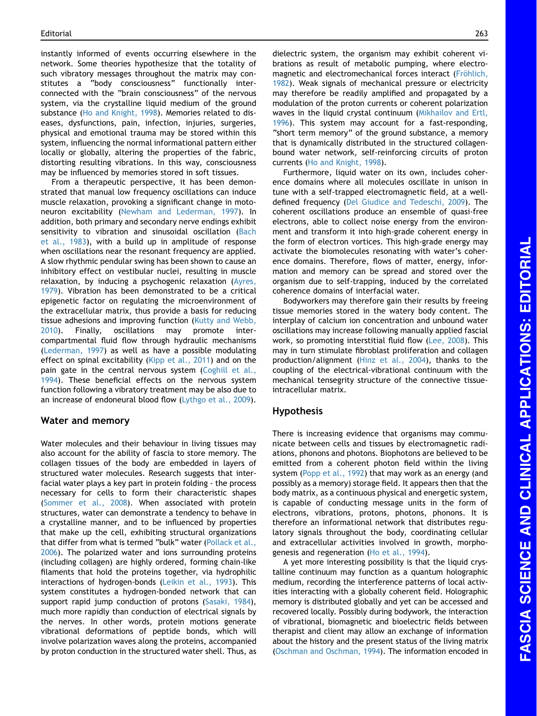instantly informed of events occurring elsewhere in the network. Some theories hypothesize that the totality of such vibratory messages throughout the matrix may constitutes a "body consciousness" functionally interconnected with the "brain consciousness" of the nervous system, via the crystalline liquid medium of the ground substance ([Ho and Knight, 1998\)](#page-5-0). Memories related to diseases, dysfunctions, pain, infection, injuries, surgeries, physical and emotional trauma may be stored within this system, influencing the normal informational pattern either locally or globally, altering the properties of the fabric, distorting resulting vibrations. In this way, consciousness may be influenced by memories stored in soft tissues.

From a therapeutic perspective, it has been demonstrated that manual low frequency oscillations can induce muscle relaxation, provoking a significant change in motoneuron excitability [\(Newham and Lederman, 1997](#page-6-0)). In addition, both primary and secondary nerve endings exhibit sensitivity to vibration and sinusoidal oscillation [\(Bach](#page-5-0) [et al., 1983\)](#page-5-0), with a build up in amplitude of response when oscillations near the resonant frequency are applied. A slow rhythmic pendular swing has been shown to cause an inhibitory effect on vestibular nuclei, resulting in muscle relaxation, by inducing a psychogenic relaxation [\(Ayres,](#page-5-0) [1979](#page-5-0)). Vibration has been demonstrated to be a critical epigenetic factor on regulating the microenvironment of the extracellular matrix, thus provide a basis for reducing tissue adhesions and improving function ([Kutty and Webb,](#page-5-0) [2010](#page-5-0)). Finally, oscillations may promote intercompartmental fluid flow through hydraulic mechanisms ([Lederman, 1997](#page-5-0)) as well as have a possible modulating effect on spinal excitability [\(Kipp et al., 2011](#page-5-0)) and on the pain gate in the central nervous system [\(Coghill et al.,](#page-5-0) [1994](#page-5-0)). These beneficial effects on the nervous system function following a vibratory treatment may be also due to an increase of endoneural blood flow ([Lythgo et al., 2009\)](#page-5-0).

#### Water and memory

Water molecules and their behaviour in living tissues may also account for the ability of fascia to store memory. The collagen tissues of the body are embedded in layers of structured water molecules. Research suggests that interfacial water plays a key part in protein folding - the process necessary for cells to form their characteristic shapes ([Sommer et al., 2008](#page-6-0)). When associated with protein structures, water can demonstrate a tendency to behave in a crystalline manner, and to be influenced by properties that make up the cell, exhibiting structural organizations that differ from what is termed "bulk" water [\(Pollack et al.,](#page-6-0) [2006\)](#page-6-0). The polarized water and ions surrounding proteins (including collagen) are highly ordered, forming chain-like filaments that hold the proteins together, via hydrophilic interactions of hydrogen-bonds [\(Leikin et al., 1993\)](#page-5-0). This system constitutes a hydrogen-bonded network that can support rapid jump conduction of protons ([Sasaki, 1984\)](#page-6-0), much more rapidly than conduction of electrical signals by the nerves. In other words, protein motions generate vibrational deformations of peptide bonds, which will involve polarization waves along the proteins, accompanied by proton conduction in the structured water shell. Thus, as dielectric system, the organism may exhibit coherent vibrations as result of metabolic pumping, where electromagnetic and electromechanical forces interact (Fröhlich, [1982\)](#page-5-0). Weak signals of mechanical pressure or electricity may therefore be readily amplified and propagated by a modulation of the proton currents or coherent polarization waves in the liquid crystal continuum ([Mikhailov and Ertl,](#page-6-0) [1996\)](#page-6-0). This system may account for a fast-responding, "short term memory" of the ground substance, a memory that is dynamically distributed in the structured collagenbound water network, self-reinforcing circuits of proton

currents ([Ho and Knight, 1998\)](#page-5-0). Furthermore, liquid water on its own, includes coherence domains where all molecules oscillate in unison in tune with a self-trapped electromagnetic field, at a welldefined frequency [\(Del Giudice and Tedeschi, 2009\)](#page-5-0). The coherent oscillations produce an ensemble of quasi-free electrons, able to collect noise energy from the environment and transform it into high-grade coherent energy in the form of electron vortices. This high-grade energy may activate the biomolecules resonating with water's coherence domains. Therefore, flows of matter, energy, information and memory can be spread and stored over the organism due to self-trapping, induced by the correlated coherence domains of interfacial water.

Bodyworkers may therefore gain their results by freeing tissue memories stored in the watery body content. The interplay of calcium ion concentration and unbound water oscillations may increase following manually applied fascial work, so promoting interstitial fluid flow ([Lee, 2008](#page-5-0)). This may in turn stimulate fibroblast proliferation and collagen production/alignment [\(Hinz et al., 2004](#page-5-0)), thanks to the coupling of the electrical-vibrational continuum with the mechanical tensegrity structure of the connective tissueintracellular matrix.

#### Hypothesis

There is increasing evidence that organisms may communicate between cells and tissues by electromagnetic radiations, phonons and photons. Biophotons are believed to be emitted from a coherent photon field within the living system ([Popp et al., 1992](#page-6-0)) that may work as an energy (and possibly as a memory) storage field. It appears then that the body matrix, as a continuous physical and energetic system, is capable of conducting message units in the form of electrons, vibrations, protons, photons, phonons. It is therefore an informational network that distributes regulatory signals throughout the body, coordinating cellular and extracellular activities involved in growth, morphogenesis and regeneration [\(Ho et al., 1994](#page-5-0)).

A yet more interesting possibility is that the liquid crystalline continuum may function as a quantum holographic medium, recording the interference patterns of local activities interacting with a globally coherent field. Holographic memory is distributed globally and yet can be accessed and recovered locally. Possibly during bodywork, the interaction of vibrational, biomagnetic and bioelectric fields between therapist and client may allow an exchange of information about the history and the present status of the living matrix ([Oschman and Oschman, 1994\)](#page-6-0). The information encoded in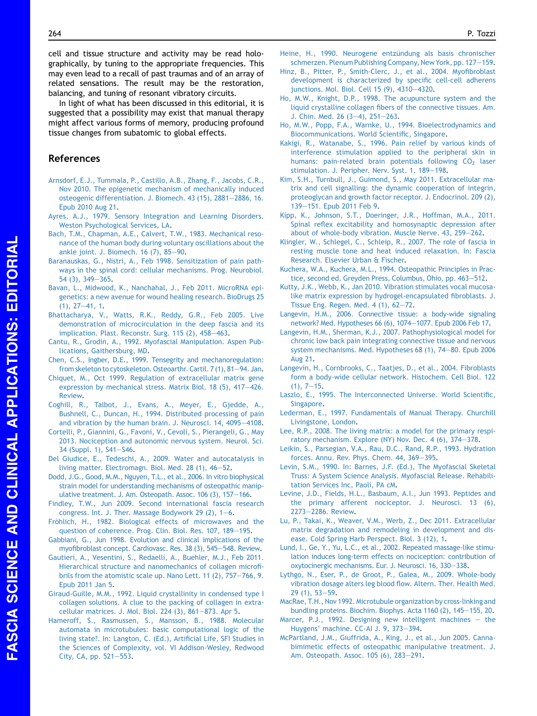<span id="page-5-0"></span>cell and tissue structure and activity may be read holographically, by tuning to the appropriate frequencies. This may even lead to a recall of past traumas and of an array of related sensations. The result may be the restoration, balancing, and tuning of resonant vibratory circuits.

In light of what has been discussed in this editorial, it is suggested that a possibility may exist that manual therapy might affect various forms of memory, producing profound tissue changes from subatomic to global effects.

### References

- [Arnsdorf, E.J., Tummala, P., Castillo, A.B., Zhang, F., Jacobs, C.R.,](http://refhub.elsevier.com/S1360-8592(13)00192-7/sref1) [Nov 2010. The epigenetic mechanism of mechanically induced](http://refhub.elsevier.com/S1360-8592(13)00192-7/sref1) [osteogenic differentiation. J. Biomech. 43 \(15\), 2881](http://refhub.elsevier.com/S1360-8592(13)00192-7/sref1)-[2886, 16.](http://refhub.elsevier.com/S1360-8592(13)00192-7/sref1) [Epub 2010 Aug 21](http://refhub.elsevier.com/S1360-8592(13)00192-7/sref1).
- [Ayres, A.J., 1979. Sensory Integration and Learning Disorders.](http://refhub.elsevier.com/S1360-8592(13)00192-7/sref2) [Weston Psychological Services, LA](http://refhub.elsevier.com/S1360-8592(13)00192-7/sref2).
- [Bach, T.M., Chapman, A.E., Calvert, T.W., 1983. Mechanical reso](http://refhub.elsevier.com/S1360-8592(13)00192-7/sref3)[nance of the human body during voluntary oscillations about the](http://refhub.elsevier.com/S1360-8592(13)00192-7/sref3) ankle joint. J. Biomech.  $16$  (7),  $85-90$ .
- [Baranauskas, G., Nistri, A., Feb 1998. Sensitization of pain path](http://refhub.elsevier.com/S1360-8592(13)00192-7/sref4)[ways in the spinal cord: cellular mechanisms. Prog. Neurobiol.](http://refhub.elsevier.com/S1360-8592(13)00192-7/sref4) [54 \(3\), 349](http://refhub.elsevier.com/S1360-8592(13)00192-7/sref4)-[365.](http://refhub.elsevier.com/S1360-8592(13)00192-7/sref4)
- [Bavan, L., Midwood, K., Nanchahal, J., Feb 2011. MicroRNA epi](http://refhub.elsevier.com/S1360-8592(13)00192-7/sref5)[genetics: a new avenue for wound healing research. BioDrugs 25](http://refhub.elsevier.com/S1360-8592(13)00192-7/sref5)  $(1), 27-41, 1.$  $(1), 27-41, 1.$  $(1), 27-41, 1.$  $(1), 27-41, 1.$
- [Bhattacharya, V., Watts, R.K., Reddy, G.R., Feb 2005. Live](http://refhub.elsevier.com/S1360-8592(13)00192-7/sref6) [demonstration of microcirculation in the deep fascia and its](http://refhub.elsevier.com/S1360-8592(13)00192-7/sref6) [implication. Plast. Reconstr. Surg. 115 \(2\), 458](http://refhub.elsevier.com/S1360-8592(13)00192-7/sref6)-[463.](http://refhub.elsevier.com/S1360-8592(13)00192-7/sref6)
- [Cantu, R., Grodin, A., 1992. Myofascial Manipulation. Aspen Pub](http://refhub.elsevier.com/S1360-8592(13)00192-7/sref7)[lications, Gaithersburg, MD](http://refhub.elsevier.com/S1360-8592(13)00192-7/sref7).
- [Chen, C.S., Ingber, D.E., 1999. Tensegrity and mechanoregulation:](http://refhub.elsevier.com/S1360-8592(13)00192-7/sref8) from skeleton to cytoskeleton. Osteoarthr. Cartil. 7(1), 81-[94. Jan.](http://refhub.elsevier.com/S1360-8592(13)00192-7/sref8)
- [Chiquet, M., Oct 1999. Regulation of extracellular matrix gene](http://refhub.elsevier.com/S1360-8592(13)00192-7/sref9) [expression by mechanical stress. Matrix Biol. 18 \(5\), 417](http://refhub.elsevier.com/S1360-8592(13)00192-7/sref9)-[426.](http://refhub.elsevier.com/S1360-8592(13)00192-7/sref9) [Review.](http://refhub.elsevier.com/S1360-8592(13)00192-7/sref9)
- [Coghill, R., Talbot, J., Evans, A., Meyer, E., Gjedde, A.,](http://refhub.elsevier.com/S1360-8592(13)00192-7/sref10) [Bushnell, C., Duncan, H., 1994. Distributed processing of pain](http://refhub.elsevier.com/S1360-8592(13)00192-7/sref10) and vibration by the human brain. J. Neurosci.  $14$ ,  $4095-4108$ .
- [Cortelli, P., Giannini, G., Favoni, V., Cevoli, S., Pierangeli, G., May](http://refhub.elsevier.com/S1360-8592(13)00192-7/sref11) [2013. Nociception and autonomic nervous system. Neurol. Sci.](http://refhub.elsevier.com/S1360-8592(13)00192-7/sref11) [34 \(Suppl. 1\), S41](http://refhub.elsevier.com/S1360-8592(13)00192-7/sref11)-[S46](http://refhub.elsevier.com/S1360-8592(13)00192-7/sref11).
- [Del Giudice, E., Tedeschi, A., 2009. Water and autocatalysis in](http://refhub.elsevier.com/S1360-8592(13)00192-7/sref12) living matter. Electromagn. Biol. Med. 28  $(1)$ , 46-[52](http://refhub.elsevier.com/S1360-8592(13)00192-7/sref12).
- [Dodd, J.G., Good, M.M., Nguyen, T.L.,](http://refhub.elsevier.com/S1360-8592(13)00192-7/sref13) et al., 2006. In vitro biophysical [strain model for understanding mechanisms of osteopathic manip](http://refhub.elsevier.com/S1360-8592(13)00192-7/sref13)[ulative treatment. J. Am. Osteopath. Assoc. 106 \(3\), 157](http://refhub.elsevier.com/S1360-8592(13)00192-7/sref13)-[166.](http://refhub.elsevier.com/S1360-8592(13)00192-7/sref13)
- [Findley, T.W., Jun 2009. Second international fascia research](http://refhub.elsevier.com/S1360-8592(13)00192-7/sref14) congress. Int. J. Ther. Massage Bodywork 29  $(2)$ , 1-[6.](http://refhub.elsevier.com/S1360-8592(13)00192-7/sref14)
- Fröhlich, [H., 1982. Biological effects of microwaves and the](http://refhub.elsevier.com/S1360-8592(13)00192-7/sref15) [question of coherence. Prog. Clin. Biol. Res. 107, 189](http://refhub.elsevier.com/S1360-8592(13)00192-7/sref15)-[195.](http://refhub.elsevier.com/S1360-8592(13)00192-7/sref15)
- [Gabbiani, G., Jun 1998. Evolution and clinical implications of the](http://refhub.elsevier.com/S1360-8592(13)00192-7/sref16) [myofibroblast concept. Cardiovasc. Res. 38 \(3\), 545](http://refhub.elsevier.com/S1360-8592(13)00192-7/sref16)-[548. Review.](http://refhub.elsevier.com/S1360-8592(13)00192-7/sref16)
- [Gautieri, A., Vesentini, S., Redaelli, A., Buehler, M.J., Feb 2011.](http://refhub.elsevier.com/S1360-8592(13)00192-7/sref17) [Hierarchical structure and nanomechanics of collagen microfi](http://refhub.elsevier.com/S1360-8592(13)00192-7/sref17)brils from the atomistic scale up. Nano Lett.  $11$   $(2)$ ,  $757-766$ , 9. [Epub 2011 Jan 5](http://refhub.elsevier.com/S1360-8592(13)00192-7/sref17).
- [Giraud-Guille, M.M., 1992. Liquid crystallinity in condensed type I](http://refhub.elsevier.com/S1360-8592(13)00192-7/sref18) [collagen solutions. A clue to the packing of collagen in extra](http://refhub.elsevier.com/S1360-8592(13)00192-7/sref18)cellular matrices. J. Mol. Biol. 224  $(3)$ , 861-[873. Apr 5.](http://refhub.elsevier.com/S1360-8592(13)00192-7/sref18)
- [Hameroff, S., Rasmussen, S., Mansson, B., 1988. Molecular](http://refhub.elsevier.com/S1360-8592(13)00192-7/sref19) [automata in microtubules: basic computational logic of the](http://refhub.elsevier.com/S1360-8592(13)00192-7/sref19) [living state?. In: Langton, C. \(Ed.\), Artificial Life, SFI Studies in](http://refhub.elsevier.com/S1360-8592(13)00192-7/sref19) [the Sciences of Complexity, vol. VI Addison-Wesley, Redwood](http://refhub.elsevier.com/S1360-8592(13)00192-7/sref19) [City, CA, pp. 521](http://refhub.elsevier.com/S1360-8592(13)00192-7/sref19)-[553](http://refhub.elsevier.com/S1360-8592(13)00192-7/sref19).
- Heine, H., 1990. Neurogene entzündung als basis chronischer [schmerzen. Plenum Publishing Company, New York, pp. 127](http://refhub.elsevier.com/S1360-8592(13)00192-7/sref20)–[159](http://refhub.elsevier.com/S1360-8592(13)00192-7/sref20).
- [Hinz, B., Pitter, P., Smith-Clerc, J., et al., 2004. Myofibroblast](http://refhub.elsevier.com/S1360-8592(13)00192-7/sref21) [development is characterized by specific cell-cell adherens](http://refhub.elsevier.com/S1360-8592(13)00192-7/sref21) [junctions. Mol. Biol. Cell 15 \(9\), 4310](http://refhub.elsevier.com/S1360-8592(13)00192-7/sref21)-[4320](http://refhub.elsevier.com/S1360-8592(13)00192-7/sref21).
- [Ho, M.W., Knight, D.P., 1998. The acupuncture system and the](http://refhub.elsevier.com/S1360-8592(13)00192-7/sref22) [liquid crystalline collagen fibers of the connective tissues. Am.](http://refhub.elsevier.com/S1360-8592(13)00192-7/sref22) J. Chin. Med. 26  $(3-4)$ , 251-[263.](http://refhub.elsevier.com/S1360-8592(13)00192-7/sref22)
- [Ho, M.W., Popp, F.A., Warnke, U., 1994. Bioelectrodynamics and](http://refhub.elsevier.com/S1360-8592(13)00192-7/sref23) [Biocommunications. World Scientific, Singapore](http://refhub.elsevier.com/S1360-8592(13)00192-7/sref23).
- [Kakigi, R., Watanabe, S., 1996. Pain relief by various kinds of](http://refhub.elsevier.com/S1360-8592(13)00192-7/sref24) [interference stimulation applied to the peripheral skin in](http://refhub.elsevier.com/S1360-8592(13)00192-7/sref24) humans: pain-related brain potentials following  $CO<sub>2</sub>$  [laser](http://refhub.elsevier.com/S1360-8592(13)00192-7/sref24) [stimulation. J. Peripher. Nerv. Syst. 1, 189](http://refhub.elsevier.com/S1360-8592(13)00192-7/sref24)-[198.](http://refhub.elsevier.com/S1360-8592(13)00192-7/sref24)
- [Kim, S.H., Turnbull, J., Guimond, S., May 2011. Extracellular ma](http://refhub.elsevier.com/S1360-8592(13)00192-7/sref25)[trix and cell signalling: the dynamic cooperation of integrin,](http://refhub.elsevier.com/S1360-8592(13)00192-7/sref25) [proteoglycan and growth factor receptor. J. Endocrinol. 209 \(2\),](http://refhub.elsevier.com/S1360-8592(13)00192-7/sref25) [139](http://refhub.elsevier.com/S1360-8592(13)00192-7/sref25)-[151. Epub 2011 Feb 9.](http://refhub.elsevier.com/S1360-8592(13)00192-7/sref25)
- [Kipp, K., Johnson, S.T., Doeringer, J.R., Hoffman, M.A., 2011.](http://refhub.elsevier.com/S1360-8592(13)00192-7/sref26) [Spinal reflex excitability and homosynaptic depression after](http://refhub.elsevier.com/S1360-8592(13)00192-7/sref26) [about of whole-body vibration. Muscle Nerve. 43, 259](http://refhub.elsevier.com/S1360-8592(13)00192-7/sref26)-[262](http://refhub.elsevier.com/S1360-8592(13)00192-7/sref26).
- [Klingler, W., Schlegel, C., Schleip, R., 2007. The role of fascia in](http://refhub.elsevier.com/S1360-8592(13)00192-7/sref27) [resting muscle tone and heat induced relaxation. In: Fascia](http://refhub.elsevier.com/S1360-8592(13)00192-7/sref27) [Research. Elsevier Urban & Fischer.](http://refhub.elsevier.com/S1360-8592(13)00192-7/sref27)
- [Kuchera, W.A., Kuchera, M.L., 1994. Osteopathic Principles in Prac](http://refhub.elsevier.com/S1360-8592(13)00192-7/sref28)[tice, second ed. Greyden Press, Columbus, Ohio, pp. 463](http://refhub.elsevier.com/S1360-8592(13)00192-7/sref28)-[512](http://refhub.elsevier.com/S1360-8592(13)00192-7/sref28).
- [Kutty, J.K., Webb, K., Jan 2010. Vibration stimulates vocal mucosa](http://refhub.elsevier.com/S1360-8592(13)00192-7/sref29)[like matrix expression by hydrogel-encapsulated fibroblasts. J.](http://refhub.elsevier.com/S1360-8592(13)00192-7/sref29) Tissue Eng. Regen. Med.  $4(1), 62-72.$  $4(1), 62-72.$
- [Langevin, H.M., 2006. Connective tissue: a body-wide signaling](http://refhub.elsevier.com/S1360-8592(13)00192-7/sref30) [network? Med. Hypotheses 66 \(6\), 1074](http://refhub.elsevier.com/S1360-8592(13)00192-7/sref30)-[1077. Epub 2006 Feb 17](http://refhub.elsevier.com/S1360-8592(13)00192-7/sref30).
- [Langevin, H.M., Sherman, K.J., 2007. Pathophysiological model for](http://refhub.elsevier.com/S1360-8592(13)00192-7/sref31) [chronic low back pain integrating connective tissue and nervous](http://refhub.elsevier.com/S1360-8592(13)00192-7/sref31) [system mechanisms. Med. Hypotheses 68 \(1\), 74](http://refhub.elsevier.com/S1360-8592(13)00192-7/sref31)-[80. Epub 2006](http://refhub.elsevier.com/S1360-8592(13)00192-7/sref31) [Aug 21.](http://refhub.elsevier.com/S1360-8592(13)00192-7/sref31)
- [Langevin, H., Cornbrooks, C., Taatjes, D., et al., 2004. Fibroblasts](http://refhub.elsevier.com/S1360-8592(13)00192-7/sref32) [form a body-wide cellular network. Histochem. Cell Biol. 122](http://refhub.elsevier.com/S1360-8592(13)00192-7/sref32)  $(1), 7-15.$  $(1), 7-15.$  $(1), 7-15.$
- [Laszlo, E., 1995. The Interconnected Universe. World Scientific,](http://refhub.elsevier.com/S1360-8592(13)00192-7/sref33) [Singapore.](http://refhub.elsevier.com/S1360-8592(13)00192-7/sref33)
- [Lederman, E., 1997. Fundamentals of Manual Therapy. Churchill](http://refhub.elsevier.com/S1360-8592(13)00192-7/sref34) [Livingstone, London](http://refhub.elsevier.com/S1360-8592(13)00192-7/sref34).
- [Lee, R.P., 2008. The living matrix: a model for the primary respi](http://refhub.elsevier.com/S1360-8592(13)00192-7/sref35)ratory mechanism. Explore (NY) Nov. Dec.  $4(6)$ ,  $374-378$ .
- [Leikin, S., Parsegian, V.A., Rau, D.C., Rand, R.P., 1993. Hydration](http://refhub.elsevier.com/S1360-8592(13)00192-7/sref36) [forces. Annu. Rev. Phys. Chem. 44, 369](http://refhub.elsevier.com/S1360-8592(13)00192-7/sref36)-[395](http://refhub.elsevier.com/S1360-8592(13)00192-7/sref36).
- [Levin, S.M., 1990. In: Barnes, J.F. \(Ed.\), The Myofascial Skeletal](http://refhub.elsevier.com/S1360-8592(13)00192-7/sref37) [Truss: A System Science Analysis. Myofascial Release. Rehabili](http://refhub.elsevier.com/S1360-8592(13)00192-7/sref37)[tation Services Inc, Paoli, PA cM.](http://refhub.elsevier.com/S1360-8592(13)00192-7/sref37)
- [Levine, J.D., Fields, H.L., Basbaum, A.I., Jun 1993. Peptides and](http://refhub.elsevier.com/S1360-8592(13)00192-7/sref38) [the primary afferent nociceptor. J. Neurosci. 13 \(6\),](http://refhub.elsevier.com/S1360-8592(13)00192-7/sref38) [2273](http://refhub.elsevier.com/S1360-8592(13)00192-7/sref38)-[2286. Review.](http://refhub.elsevier.com/S1360-8592(13)00192-7/sref38)
- [Lu, P., Takai, K., Weaver, V.M., Werb, Z., Dec 2011. Extracellular](http://refhub.elsevier.com/S1360-8592(13)00192-7/sref39) [matrix degradation and remodeling in development and dis](http://refhub.elsevier.com/S1360-8592(13)00192-7/sref39)[ease. Cold Spring Harb Perspect. Biol. 3 \(12\), 1](http://refhub.elsevier.com/S1360-8592(13)00192-7/sref39).
- [Lund, I., Ge, Y., Yu, L.C., et al., 2002. Repeated massage-like stimu](http://refhub.elsevier.com/S1360-8592(13)00192-7/sref40)[lation induces long-term effects on nociception: contribution of](http://refhub.elsevier.com/S1360-8592(13)00192-7/sref40) [oxytocinergic mechanisms.](http://refhub.elsevier.com/S1360-8592(13)00192-7/sref40) Eur. J. Neurosci. 16, 330-[338](http://refhub.elsevier.com/S1360-8592(13)00192-7/sref40).
- [Lythgo, N., Eser, P., de Groot, P., Galea, M., 2009. Whole-body](http://refhub.elsevier.com/S1360-8592(13)00192-7/sref41) [vibration dosage alters leg blood flow. Altern. Ther. Health Med.](http://refhub.elsevier.com/S1360-8592(13)00192-7/sref41)  $29(1), 53 - 59.$  $29(1), 53 - 59.$
- [MacRae, T.H., Nov 1992. Microtubule organization by cross-linking and](http://refhub.elsevier.com/S1360-8592(13)00192-7/sref42) [bundling proteins. Biochim. Biophys. Acta 1160 \(2\), 145](http://refhub.elsevier.com/S1360-8592(13)00192-7/sref42)–[155, 20.](http://refhub.elsevier.com/S1360-8592(13)00192-7/sref42)
- [Marcer, P.J., 1992. Designing new intelligent machines](http://refhub.elsevier.com/S1360-8592(13)00192-7/sref43)  $-$  [the](http://refhub.elsevier.com/S1360-8592(13)00192-7/sref43) [Huygens' machine. CC-AI J. 9, 373](http://refhub.elsevier.com/S1360-8592(13)00192-7/sref43)-[394.](http://refhub.elsevier.com/S1360-8592(13)00192-7/sref43)
- [McPartland, J.M., Giuffrida, A., King, J., et al., Jun 2005. Canna](http://refhub.elsevier.com/S1360-8592(13)00192-7/sref44)[bimimetic effects of osteopathic manipulative treatment. J.](http://refhub.elsevier.com/S1360-8592(13)00192-7/sref44) [Am. Osteopath. Assoc. 105 \(6\), 283](http://refhub.elsevier.com/S1360-8592(13)00192-7/sref44)-[291](http://refhub.elsevier.com/S1360-8592(13)00192-7/sref44).